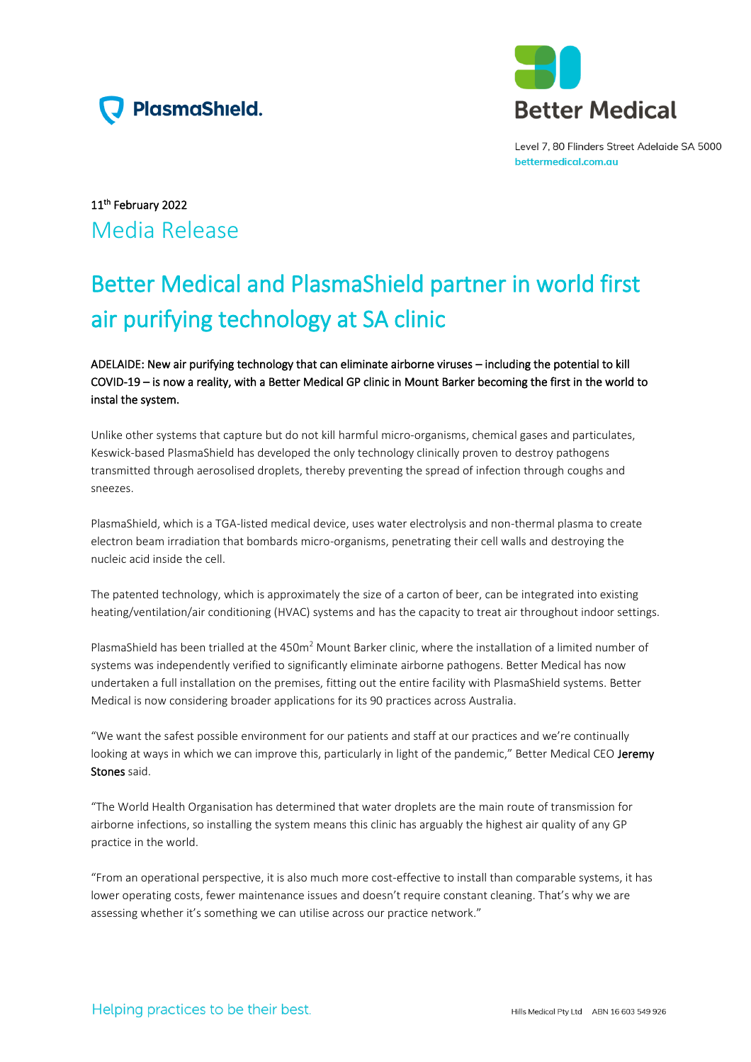



Level 7, 80 Flinders Street Adelaide SA 5000 bettermedical.com.au

# 11th February 2022 Media Release

# Better Medical and PlasmaShield partner in world first air purifying technology at SA clinic

## ADELAIDE: New air purifying technology that can eliminate airborne viruses – including the potential to kill COVID-19 – is now a reality, with a Better Medical GP clinic in Mount Barker becoming the first in the world to instal the system.

Unlike other systems that capture but do not kill harmful micro-organisms, chemical gases and particulates, Keswick-based PlasmaShield has developed the only technology clinically proven to destroy pathogens transmitted through aerosolised droplets, thereby preventing the spread of infection through coughs and sneezes.

PlasmaShield, which is a TGA-listed medical device, uses water electrolysis and non-thermal plasma to create electron beam irradiation that bombards micro-organisms, penetrating their cell walls and destroying the nucleic acid inside the cell.

The patented technology, which is approximately the size of a carton of beer, can be integrated into existing heating/ventilation/air conditioning (HVAC) systems and has the capacity to treat air throughout indoor settings.

PlasmaShield has been trialled at the 450m<sup>2</sup> Mount Barker clinic, where the installation of a limited number of systems was independently verified to significantly eliminate airborne pathogens. Better Medical has now undertaken a full installation on the premises, fitting out the entire facility with PlasmaShield systems. Better Medical is now considering broader applications for its 90 practices across Australia.

"We want the safest possible environment for our patients and staff at our practices and we're continually looking at ways in which we can improve this, particularly in light of the pandemic," Better Medical CEO Jeremy Stones said.

"The World Health Organisation has determined that water droplets are the main route of transmission for airborne infections, so installing the system means this clinic has arguably the highest air quality of any GP practice in the world.

"From an operational perspective, it is also much more cost-effective to install than comparable systems, it has lower operating costs, fewer maintenance issues and doesn't require constant cleaning. That's why we are assessing whether it's something we can utilise across our practice network."